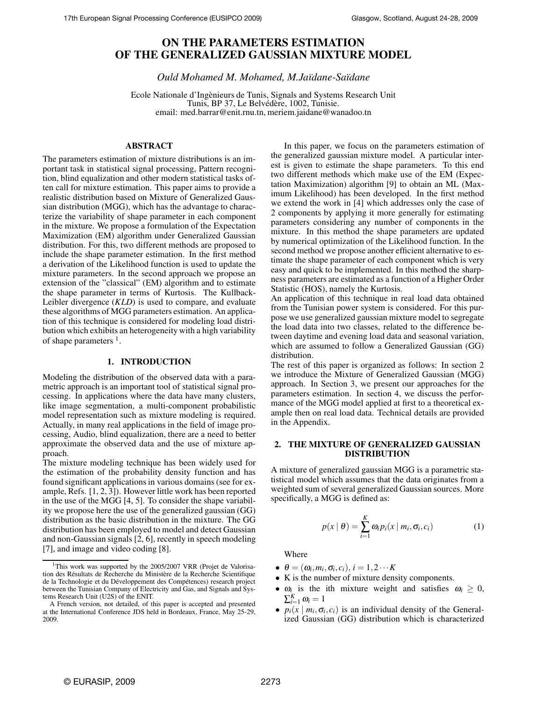# **ON THE PARAMETERS ESTIMATION OF THE GENERALIZED GAUSSIAN MIXTURE MODEL**

*Ould Mohamed M. Mohamed, M.Ja¨ıdane-Sa¨ıdane*

Ecole Nationale d'Ingènieurs de Tunis, Signals and Systems Research Unit Tunis, BP 37, Le Belvédère, 1002, Tunisie. email: med.barrar@enit.rnu.tn, meriem.jaidane@wanadoo.tn

# **ABSTRACT**

The parameters estimation of mixture distributions is an important task in statistical signal processing, Pattern recognition, blind equalization and other modern statistical tasks often call for mixture estimation. This paper aims to provide a realistic distribution based on Mixture of Generalized Gaussian distribution (MGG), which has the advantage to characterize the variability of shape parameter in each component in the mixture. We propose a formulation of the Expectation Maximization (EM) algorithm under Generalized Gaussian distribution. For this, two different methods are proposed to include the shape parameter estimation. In the first method a derivation of the Likelihood function is used to update the mixture parameters. In the second approach we propose an extension of the "classical" (EM) algorithm and to estimate the shape parameter in terms of Kurtosis. The Kullback-Leibler divergence (*KLD*) is used to compare, and evaluate these algorithms of MGG parameters estimation. An application of this technique is considered for modeling load distribution which exhibits an heterogeneity with a high variability of shape parameters <sup>1</sup>.

#### **1. INTRODUCTION**

Modeling the distribution of the observed data with a parametric approach is an important tool of statistical signal processing. In applications where the data have many clusters, like image segmentation, a multi-component probabilistic model representation such as mixture modeling is required. Actually, in many real applications in the field of image processing, Audio, blind equalization, there are a need to better approximate the observed data and the use of mixture approach.

The mixture modeling technique has been widely used for the estimation of the probability density function and has found significant applications in various domains (see for example, Refs. [1, 2, 3]). However little work has been reported in the use of the MGG [4, 5]. To consider the shape variability we propose here the use of the generalized gaussian (GG) distribution as the basic distribution in the mixture. The GG distribution has been employed to model and detect Gaussian and non-Gaussian signals [2, 6], recently in speech modeling [7], and image and video coding [8].

In this paper, we focus on the parameters estimation of the generalized gaussian mixture model. A particular interest is given to estimate the shape parameters. To this end two different methods which make use of the EM (Expectation Maximization) algorithm [9] to obtain an ML (Maximum Likelihood) has been developed. In the first method we extend the work in [4] which addresses only the case of 2 components by applying it more generally for estimating parameters considering any number of components in the mixture. In this method the shape parameters are updated by numerical optimization of the Likelihood function. In the second method we propose another efficient alternative to estimate the shape parameter of each component which is very easy and quick to be implemented. In this method the sharpness parameters are estimated as a function of a Higher Order Statistic (HOS), namely the Kurtosis.

An application of this technique in real load data obtained from the Tunisian power system is considered. For this purpose we use generalized gaussian mixture model to segregate the load data into two classes, related to the difference between daytime and evening load data and seasonal variation, which are assumed to follow a Generalized Gaussian (GG) distribution.

The rest of this paper is organized as follows: In section 2 we introduce the Mixture of Generalized Gaussian (MGG) approach. In Section 3, we present our approaches for the parameters estimation. In section 4, we discuss the performance of the MGG model applied at first to a theoretical example then on real load data. Technical details are provided in the Appendix.

# **2. THE MIXTURE OF GENERALIZED GAUSSIAN DISTRIBUTION**

A mixture of generalized gaussian MGG is a parametric statistical model which assumes that the data originates from a weighted sum of several generalized Gaussian sources. More specifically, a MGG is defined as:

$$
p(x | \theta) = \sum_{i=1}^{K} \omega_i p_i(x | m_i, \sigma_i, c_i)
$$
 (1)

Where

- $\bullet$   $\theta = (\omega_i, m_i, \sigma_i, c_i), i = 1, 2 \cdots K$
- K is the number of mixture density components.
- $\omega_i$  is the ith mixture weight and satisfies  $\omega_i \geq 0$ ,  $\sum_{i=1}^K \omega_i = 1$
- $p_i(x \mid m_i, \sigma_i, c_i)$  is an individual density of the Generalized Gaussian (GG) distribution which is characterized

<sup>&</sup>lt;sup>1</sup>This work was supported by the 2005/2007 VRR (Projet de Valorisation des Résultats de Recherche du Ministère de la Recherche Scientifique de la Technologie et du Développement des Compétences) research project between the Tunisian Company of Electricity and Gas, and Signals and Systems Research Unit (U2S) of the ENIT.

A French version, not detailed, of this paper is accepted and presented at the International Conference JDS held in Bordeaux, France, May 25-29, 2009.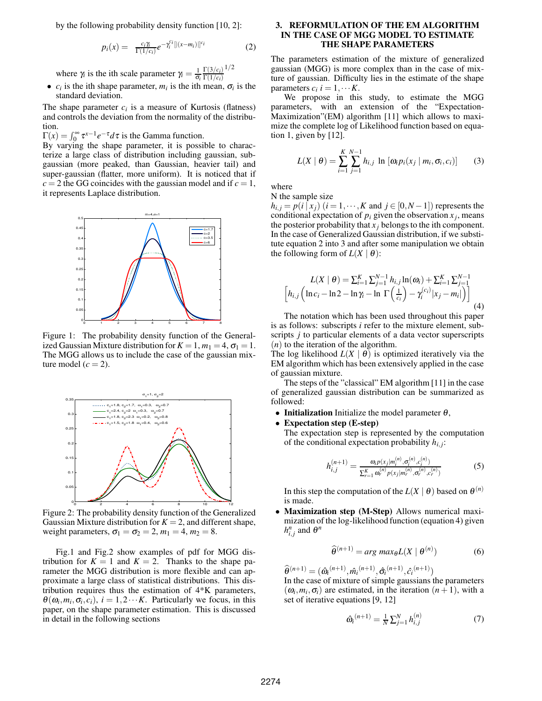by the following probability density function [10, 2]:

$$
p_i(x) = \frac{c_i \gamma_i}{\Gamma(1/c_i)} e^{-\gamma_i^{c_i} [[(x-m_i)]]^{c_i}}
$$
(2)

where  $\gamma_i$  is the ith scale parameter  $\gamma_i = \frac{1}{\sigma_i}$  $\Gamma(3/c_i)$  $\Gamma(1/c_i)$ 1/2

•  $c_i$  is the ith shape parameter,  $m_i$  is the ith mean,  $\sigma_i$  is the standard deviation.

The shape parameter  $c_i$  is a measure of Kurtosis (flatness) and controls the deviation from the normality of the distribution.

 $\Gamma(x) = \int_0^\infty \tau^{x-1} e^{-\tau} d\tau$  is the Gamma function.

By varying the shape parameter, it is possible to characterize a large class of distribution including gaussian, subgaussian (more peaked, than Gaussian, heavier tail) and super-gaussian (flatter, more uniform). It is noticed that if  $c = 2$  the GG coincides with the gaussian model and if  $c = 1$ , it represents Laplace distribution.



Figure 1: The probability density function of the Generalized Gaussian Mixture distribution for  $K = 1$ ,  $m_1 = 4$ ,  $\sigma_1 = 1$ . The MGG allows us to include the case of the gaussian mixture model  $(c = 2)$ .



Figure 2: The probability density function of the Generalized Gaussian Mixture distribution for  $K = 2$ , and different shape, weight parameters,  $\sigma_1 = \sigma_2 = 2$ ,  $m_1 = 4$ ,  $m_2 = 8$ .

Fig.1 and Fig.2 show examples of pdf for MGG distribution for  $K = 1$  and  $K = 2$ . Thanks to the shape parameter the MGG distribution is more flexible and can approximate a large class of statistical distributions. This distribution requires thus the estimation of 4\*K parameters,  $\theta(\omega_i, m_i, \sigma_i, c_i)$ ,  $i = 1, 2 \cdots K$ . Particularly we focus, in this paper, on the shape parameter estimation. This is discussed in detail in the following sections

# **3. REFORMULATION OF THE EM ALGORITHM IN THE CASE OF MGG MODEL TO ESTIMATE THE SHAPE PARAMETERS**

The parameters estimation of the mixture of generalized gaussian (MGG) is more complex than in the case of mixture of gaussian. Difficulty lies in the estimate of the shape parameters  $c_i$   $i = 1, \dots K$ .

We propose in this study, to estimate the MGG parameters, with an extension of the "Expectation-Maximization"(EM) algorithm [11] which allows to maximize the complete log of Likelihood function based on equation 1, given by [12].

$$
L(X | \theta) = \sum_{i=1}^{K} \sum_{j=1}^{N-1} h_{i,j} \ln \left[ \omega_i p_i(x_j | m_i, \sigma_i, c_i) \right]
$$
 (3)

where

N the sample size

*h*<sub>*i*</sub>,  $j = p(i | x_j)$  (*i* = 1, ···, *K* and *j* ∈ [0, *N* − 1]) represents the conditional expectation of  $p_i$  given the observation  $x_j$ , means the posterior probability that  $x_j$  belongs to the ith component. In the case of Generalized Gaussian distribution, if we substitute equation 2 into 3 and after some manipulation we obtain the following form of  $L(X | \theta)$ :

$$
L(X | \theta) = \sum_{i=1}^{K} \sum_{j=1}^{N-1} h_{i,j} \ln(\omega_i) + \sum_{i=1}^{K} \sum_{j=1}^{N-1} h_{i,j} \left[ \ln c_i - \ln 2 - \ln \gamma_i - \ln \Gamma \left( \frac{1}{c_i} \right) - \gamma_i^{(c_i)} |x_j - m_i| \right) \right]
$$
(4)

The notation which has been used throughout this paper is as follows: subscripts *i* refer to the mixture element, subscripts *j* to particular elements of a data vector superscripts (*n*) to the iteration of the algorithm.

The log likelihood  $L(X | \theta)$  is optimized iteratively via the EM algorithm which has been extensively applied in the case of gaussian mixture.

The steps of the "classical" EM algorithm [11] in the case of generalized gaussian distribution can be summarized as followed:

- **Initialization** Initialize the model parameter  $\theta$ ,
- **Expectation step (E-step)**

The expectation step is represented by the computation of the conditional expectation probability *hi*, *<sup>j</sup>* :

$$
h_{i,j}^{(n+1)} = \frac{\omega_i p(x_j|m_i^{(n)}, \sigma_i^{(n)}, c_i^{(n)})}{\sum_{r=1}^K \omega_r^{(n)} p(x_j|m_r^{(n)}, \sigma_r^{(n)}, c_r^{(n)})}
$$
(5)

In this step the computation of the  $L(X | \theta)$  based on  $\theta^{(n)}$ is made.

• **Maximization step (M-Step)** Allows numerical maximization of the log-likelihood function (equation 4) given  $h_{i,j}^n$  and  $\theta^n$ 

$$
\widehat{\theta}^{(n+1)} = \arg\max_{\theta} L(X \mid \theta^{(n)}) \tag{6}
$$

 $\widehat{\theta}^{(n+1)} = (\widehat{\omega}_i^{(n+1)}, \widehat{m}_i^{(n+1)}, \widehat{\sigma}_i^{(n+1)}, \widehat{c}_i^{(n+1)})$ 

In the case of mixture of simple gaussians the parameters  $(\omega_i, m_i, \sigma_i)$  are estimated, in the iteration  $(n + 1)$ , with a set of iterative equations [9, 12]

$$
\hat{\omega}_i^{(n+1)} = \frac{1}{N} \sum_{j=1}^N h_{i,j}^{(n)} \tag{7}
$$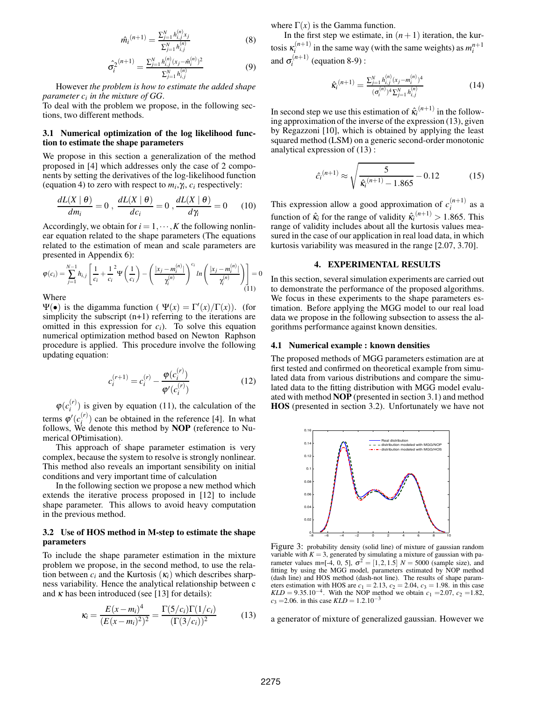$$
\hat{m}_i^{(n+1)} = \frac{\sum_{j=1}^N h_{i,j}^{(n)} x_j}{\sum_{j=1}^N h_{i,j}^{(n)}} \tag{8}
$$

$$
\hat{\sigma}_{i}^{2}^{(n+1)} = \frac{\sum_{j=1}^{N} h_{i,j}^{(n)} (x_j - \hat{m}_i^{(n)})^2}{\sum_{j=1}^{N} h_{i,j}^{(n)}}
$$
(9)

However *the problem is how to estimate the added shape parameter c<sup>i</sup> in the mixture of GG*.

To deal with the problem we propose, in the following sections, two different methods.

# **3.1 Numerical optimization of the log likelihood function to estimate the shape parameters**

We propose in this section a generalization of the method proposed in [4] which addresses only the case of 2 components by setting the derivatives of the log-likelihood function (equation 4) to zero with respect to  $m_i, \gamma_i, c_i$  respectively:

$$
\frac{dL(X \mid \theta)}{dm_i} = 0 , \frac{dL(X \mid \theta)}{dc_i} = 0 , \frac{dL(X \mid \theta)}{d\gamma_i} = 0
$$
 (10)

Accordingly, we obtain for  $i = 1, \dots, K$  the following nonlinear equation related to the shape parameters (The equations related to the estimation of mean and scale parameters are presented in Appendix 6):

$$
\varphi(c_i) = \sum_{j=1}^{N-1} h_{i,j} \left[ \frac{1}{c_i} + \frac{1}{c_i}^2 \Psi\left(\frac{1}{c_i}\right) - \left( \frac{|x_j - m_i^{(n)}|}{\gamma_i^{(n)}} \right)^{c_i} \ln\left( \frac{|x_j - m_i^{(n)}|}{\gamma_i^{(n)}} \right) \right] = 0
$$
  
When

Where

 $Ψ(•)$  is the digamma function ( $Ψ(x) = Γ'(x)/Γ(x)$ ). (for simplicity the subscript (n+1) referring to the iterations are omitted in this expression for  $c_i$ ). To solve this equation numerical optimization method based on Newton Raphson procedure is applied. This procedure involve the following updating equation:

$$
c_i^{(r+1)} = c_i^{(r)} - \frac{\varphi(c_i^{(r)})}{\varphi'(c_i^{(r)})}
$$
(12)

 $\varphi(c_i^{(r)})$  $i^{(r)}$ ) is given by equation (11), the calculation of the terms  $\varphi'(c_i^{(r)})$  can be obtained in the reference [4]. In what follows, We denote this method by **NOP** (reference to Numerical OPtimisation).

This approach of shape parameter estimation is very complex, because the system to resolve is strongly nonlinear. This method also reveals an important sensibility on initial conditions and very important time of calculation

In the following section we propose a new method which extends the iterative process proposed in [12] to include shape parameter. This allows to avoid heavy computation in the previous method.

# **3.2 Use of HOS method in M-step to estimate the shape parameters**

To include the shape parameter estimation in the mixture problem we propose, in the second method, to use the relation between  $c_i$  and the Kurtosis  $(\kappa_i)$  which describes sharpness variability. Hence the analytical relationship between c and  $\kappa$  has been introduced (see [13] for details):

$$
\kappa_i = \frac{E(x - m_i)^4}{(E(x - m_i)^2)^2} = \frac{\Gamma(5/c_i)\Gamma(1/c_i)}{(\Gamma(3/c_i))^2}
$$
(13)

where  $\Gamma(x)$  is the Gamma function.

In the first step we estimate, in  $(n+1)$  iteration, the kurtosis  $\kappa_i^{(n+1)}$  in the same way (with the same weights) as  $m_i^{n+1}$ and  $\sigma_i^{(n+1)}$  $i^{(n+1)}$  (equation 8-9) :

$$
\hat{\kappa}_i^{(n+1)} = \frac{\sum_{j=1}^N h_{i,j}^{(n)} (x_j - m_i^{(n)})^4}{(\sigma_i^{(n)})^4 \sum_{j=1}^N h_{i,j}^{(n)}}
$$
(14)

In second step we use this estimation of  $\hat{\kappa_i}^{(n+1)}$  in the following approximation of the inverse of the expression (13), given by Regazzoni [10], which is obtained by applying the least squared method (LSM) on a generic second-order monotonic analytical expression of (13) :

$$
\hat{c}_i^{(n+1)} \approx \sqrt{\frac{5}{\hat{\kappa}_i^{(n+1)} - 1.865}} - 0.12\tag{15}
$$

This expression allow a good approximation of  $c_i^{(n+1)}$  as a function of  $\hat{\kappa}_i$  for the range of validity  $\hat{\kappa}_i^{(n+1)} > 1.865$ . This range of validity includes about all the kurtosis values measured in the case of our application in real load data, in which kurtosis variability was measured in the range [2.07, 3.70].

#### **4. EXPERIMENTAL RESULTS**

In this section, several simulation experiments are carried out to demonstrate the performance of the proposed algorithms. We focus in these experiments to the shape parameters estimation. Before applying the MGG model to our real load data we propose in the following subsection to assess the algorithms performance against known densities.

#### **4.1 Numerical example : known densities**

The proposed methods of MGG parameters estimation are at first tested and confirmed on theoretical example from simulated data from various distributions and compare the simulated data to the fitting distribution with MGG model evaluated with method **NOP** (presented in section 3.1) and method **HOS** (presented in section 3.2). Unfortunately we have not



Figure 3: probability density (solid line) of mixture of gaussian random variable with  $K = 3$ , generated by simulating a mixture of gaussian with parameter values m=[-4, 0, 5],  $\sigma^2 = [1, 2, 1.5]$   $N = 5000$  (sample size), and fitting by using the MGG model, parameters estimated by NOP method (dash line) and HOS method (dash-not line). The results of shape parameters estimation with HOS are *c*<sub>1</sub> = 2.13, *c*<sub>2</sub> = 2.04, *c*<sub>3</sub> = 1.98. in this case *KLD* = 9.35.10<sup>−4</sup>. With the NOP method we obtain *c*<sub>1</sub> = 2.07, *c*<sub>2</sub> = 1.82,  $c_3$  = 2.06. in this case *KLD* = 1.2.10<sup>-3</sup>

a generator of mixture of generalized gaussian. However we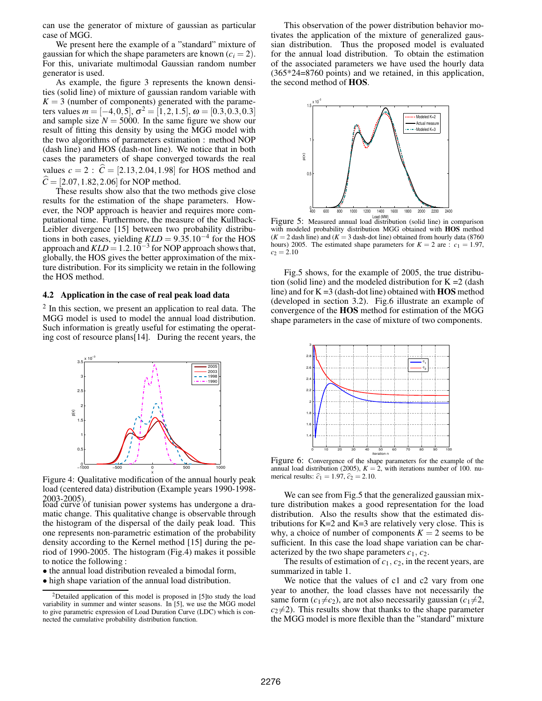can use the generator of mixture of gaussian as particular case of MGG.

We present here the example of a "standard" mixture of gaussian for which the shape parameters are known  $(c_i = 2)$ . For this, univariate multimodal Gaussian random number generator is used.

As example, the figure 3 represents the known densities (solid line) of mixture of gaussian random variable with  $K = 3$  (number of components) generated with the parameters values  $m = [-4, 0, 5]$ ,  $\sigma^2 = [1, 2, 1.5]$ ,  $\omega = [0.3, 0.3, 0.3]$ and sample size  $N = 5000$ . In the same figure we show our result of fitting this density by using the MGG model with the two algorithms of parameters estimation : method NOP (dash line) and HOS (dash-not line). We notice that in both cases the parameters of shape converged towards the real values  $c = 2$ :  $\hat{C} = [2.13, 2.04, 1.98]$  for HOS method and  $\hat{C} = [2.07, 1.82, 2.06]$  for NOP method.

These results show also that the two methods give close results for the estimation of the shape parameters. However, the NOP approach is heavier and requires more computational time. Furthermore, the measure of the Kullback-Leibler divergence [15] between two probability distributions in both cases, yielding  $KLD = 9.35.10^{-4}$  for the HOS approach and  $KLD = 1.2.10^{-3}$  for NOP approach shows that, globally, the HOS gives the better approximation of the mixture distribution. For its simplicity we retain in the following the HOS method.

# **4.2 Application in the case of real peak load data**

 $2$  In this section, we present an application to real data. The MGG model is used to model the annual load distribution. Such information is greatly useful for estimating the operating cost of resource plans[14]. During the recent years, the



Figure 4: Qualitative modification of the annual hourly peak load (centered data) distribution (Example years 1990-1998- 2003-2005).<br>load curve of tunisian power systems has undergone a dra-

matic change. This qualitative change is observable through the histogram of the dispersal of the daily peak load. This one represents non-parametric estimation of the probability density according to the Kernel method [15] during the period of 1990-2005. The histogram (Fig.4) makes it possible to notice the following :

• the annual load distribution revealed a bimodal form,

This observation of the power distribution behavior motivates the application of the mixture of generalized gaussian distribution. Thus the proposed model is evaluated for the annual load distribution. To obtain the estimation of the associated parameters we have used the hourly data (365\*24=8760 points) and we retained, in this application, the second method of **HOS**.



Figure 5: Measured annual load distribution (solid line) in comparison with modeled probability distribution MGG obtained with **HOS** method  $(K = 2$  dash line) and  $(K = 3$  dash-dot line) obtained from hourly data (8760) hours) 2005. The estimated shape parameters for  $K = 2$  are :  $c_1 = 1.97$ ,  $c_2 = 2.10$ 

Fig.5 shows, for the example of 2005, the true distribution (solid line) and the modeled distribution for  $K = 2$  (dash line) and for K =3 (dash-dot line) obtained with **HOS** method (developed in section 3.2). Fig.6 illustrate an example of convergence of the **HOS** method for estimation of the MGG shape parameters in the case of mixture of two components.



Figure 6: Convergence of the shape parameters for the example of the annual load distribution (2005),  $K = 2$ , with iterations number of 100. numerical results:  $\hat{c}_1 = 1.97$ ,  $\hat{c}_2 = 2.10$ .

We can see from Fig.5 that the generalized gaussian mixture distribution makes a good representation for the load distribution. Also the results show that the estimated distributions for  $K=2$  and  $K=3$  are relatively very close. This is why, a choice of number of components  $K = 2$  seems to be sufficient. In this case the load shape variation can be characterized by the two shape parameters  $c_1$ ,  $c_2$ .

The results of estimation of *c*1, *c*2, in the recent years, are summarized in table 1.

We notice that the values of c1 and c2 vary from one year to another, the load classes have not necessarily the same form  $(c_1 \neq c_2)$ , are not also necessarily gaussian  $(c_1 \neq 2,$  $c_2\neq 2$ ). This results show that thanks to the shape parameter the MGG model is more flexible than the "standard" mixture

<sup>•</sup> high shape variation of the annual load distribution.

 $2$ Detailed application of this model is proposed in [5]to study the load variability in summer and winter seasons. In [5], we use the MGG model to give parametric expression of Load Duration Curve (LDC) which is connected the cumulative probability distribution function.